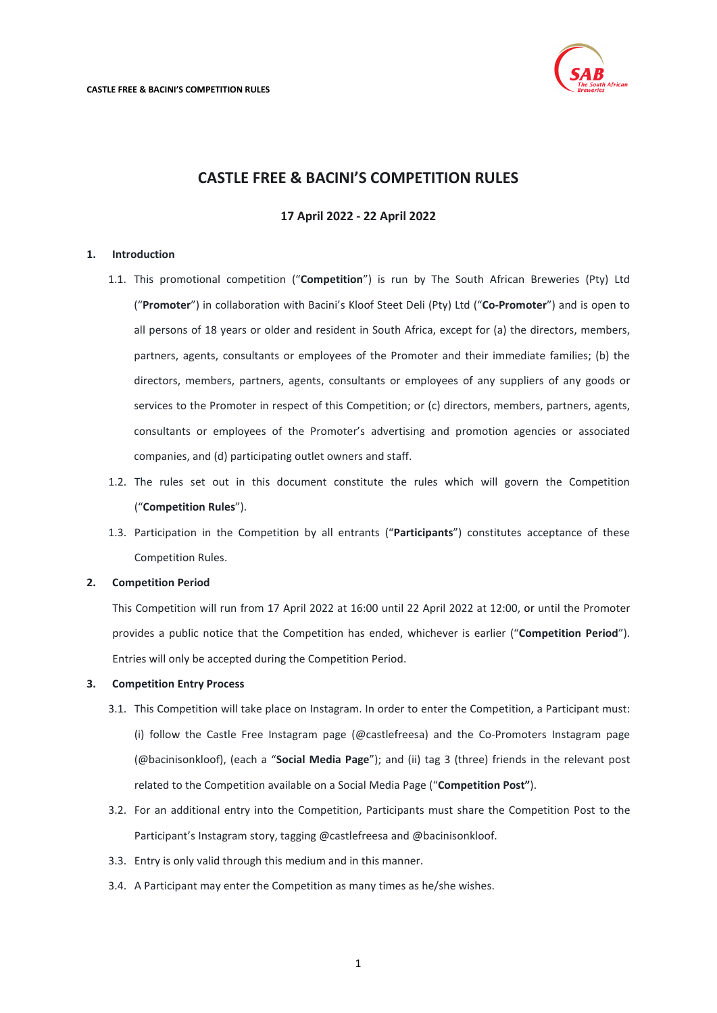

# **CASTLE FREE & BACINI'S COMPETITION RULES**

# **17 April 2022 - 22 April 2022**

## <span id="page-0-0"></span>**1. Introduction**

- 1.1. This promotional competition ("**Competition**") is run by The South African Breweries (Pty) Ltd ("**Promoter**") in collaboration with Bacini's Kloof Steet Deli (Pty) Ltd ("**Co-Promoter**") and is open to all persons of 18 years or older and resident in South Africa, except for (a) the directors, members, partners, agents, consultants or employees of the Promoter and their immediate families; (b) the directors, members, partners, agents, consultants or employees of any suppliers of any goods or services to the Promoter in respect of this Competition; or (c) directors, members, partners, agents, consultants or employees of the Promoter's advertising and promotion agencies or associated companies, and (d) participating outlet owners and staff.
- 1.2. The rules set out in this document constitute the rules which will govern the Competition ("**Competition Rules**").
- 1.3. Participation in the Competition by all entrants ("**Participants**") constitutes acceptance of these Competition Rules.

### **2. Competition Period**

This Competition will run from 17 April 2022 at 16:00 until 22 April 2022 at 12:00, or until the Promoter provides a public notice that the Competition has ended, whichever is earlier ("**Competition Period**"). Entries will only be accepted during the Competition Period.

## **3. Competition Entry Process**

- 3.1. This Competition will take place on Instagram. In order to enter the Competition, a Participant must: (i) follow the Castle Free Instagram page (@castlefreesa) and the Co-Promoters Instagram page (@bacinisonkloof), (each a "**Social Media Page**"); and (ii) tag 3 (three) friends in the relevant post related to the Competition available on a Social Media Page ("**Competition Post"**).
- 3.2. For an additional entry into the Competition, Participants must share the Competition Post to the Participant's Instagram story, tagging @castlefreesa and @bacinisonkloof.
- 3.3. Entry is only valid through this medium and in this manner.
- 3.4. A Participant may enter the Competition as many times as he/she wishes.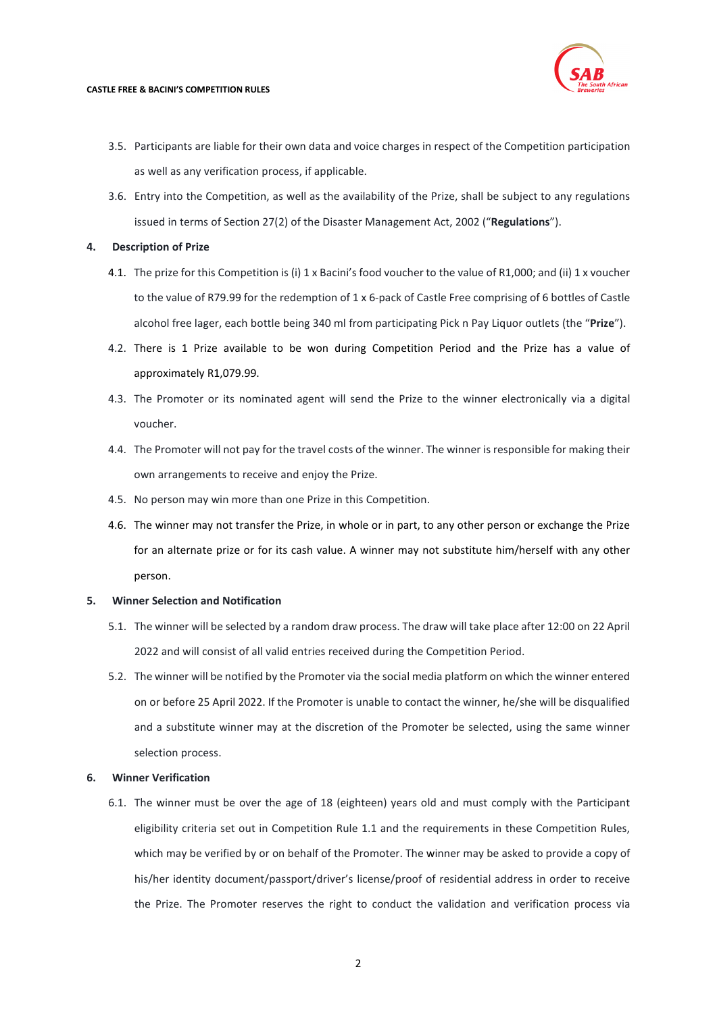

- 3.5. Participants are liable for their own data and voice charges in respect of the Competition participation as well as any verification process, if applicable.
- 3.6. Entry into the Competition, as well as the availability of the Prize, shall be subject to any regulations issued in terms of Section 27(2) of the Disaster Management Act, 2002 ("**Regulations**").

## **4. Description of Prize**

- 4.1. The prize for this Competition is (i) 1 x Bacini's food voucher to the value of R1,000; and (ii) 1 x voucher to the value of R79.99 for the redemption of 1 x 6-pack of Castle Free comprising of 6 bottles of Castle alcohol free lager, each bottle being 340 ml from participating Pick n Pay Liquor outlets (the "**Prize**").
- 4.2. There is 1 Prize available to be won during Competition Period and the Prize has a value of approximately R1,079.99.
- 4.3. The Promoter or its nominated agent will send the Prize to the winner electronically via a digital voucher.
- 4.4. The Promoter will not pay for the travel costs of the winner. The winner is responsible for making their own arrangements to receive and enjoy the Prize.
- 4.5. No person may win more than one Prize in this Competition.
- 4.6. The winner may not transfer the Prize, in whole or in part, to any other person or exchange the Prize for an alternate prize or for its cash value. A winner may not substitute him/herself with any other person.

## **5. Winner Selection and Notification**

- 5.1. The winner will be selected by a random draw process. The draw will take place after 12:00 on 22 April 2022 and will consist of all valid entries received during the Competition Period.
- 5.2. The winner will be notified by the Promoter via the social media platform on which the winner entered on or before 25 April 2022. If the Promoter is unable to contact the winner, he/she will be disqualified and a substitute winner may at the discretion of the Promoter be selected, using the same winner selection process.

## **6. Winner Verification**

6.1. The winner must be over the age of 18 (eighteen) years old and must comply with the Participant eligibility criteria set out in Competition Rule [1.1](#page-0-0) and the requirements in these Competition Rules, which may be verified by or on behalf of the Promoter. The winner may be asked to provide a copy of his/her identity document/passport/driver's license/proof of residential address in order to receive the Prize. The Promoter reserves the right to conduct the validation and verification process via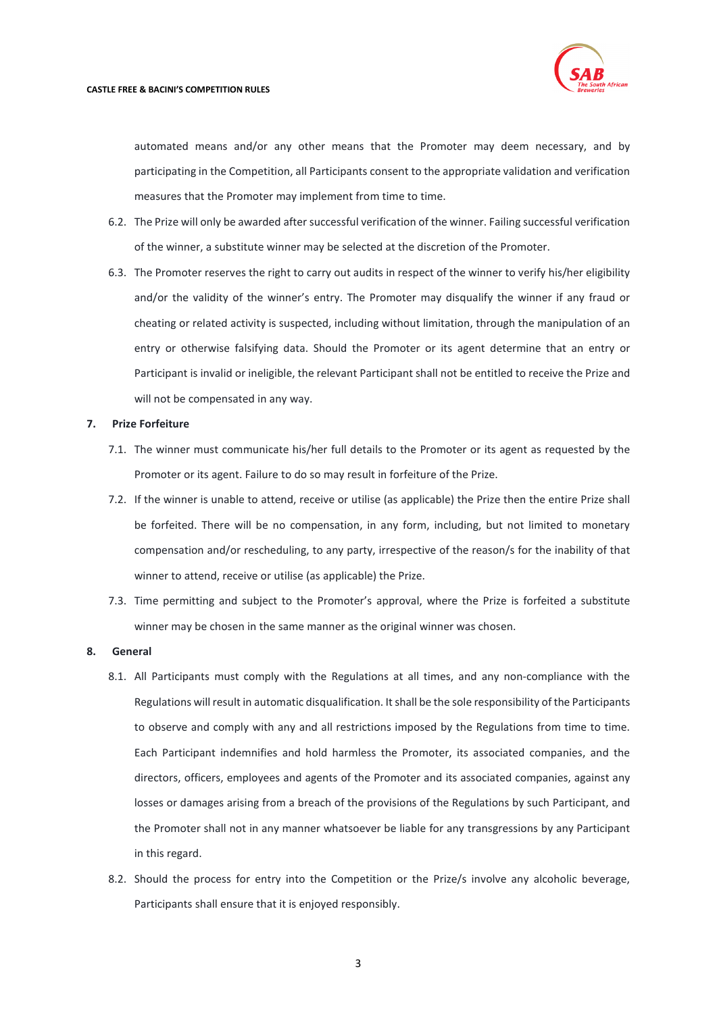

automated means and/or any other means that the Promoter may deem necessary, and by participating in the Competition, all Participants consent to the appropriate validation and verification measures that the Promoter may implement from time to time.

- 6.2. The Prize will only be awarded after successful verification of the winner. Failing successful verification of the winner, a substitute winner may be selected at the discretion of the Promoter.
- 6.3. The Promoter reserves the right to carry out audits in respect of the winner to verify his/her eligibility and/or the validity of the winner's entry. The Promoter may disqualify the winner if any fraud or cheating or related activity is suspected, including without limitation, through the manipulation of an entry or otherwise falsifying data. Should the Promoter or its agent determine that an entry or Participant is invalid or ineligible, the relevant Participant shall not be entitled to receive the Prize and will not be compensated in any way.

### **7. Prize Forfeiture**

- 7.1. The winner must communicate his/her full details to the Promoter or its agent as requested by the Promoter or its agent. Failure to do so may result in forfeiture of the Prize.
- 7.2. If the winner is unable to attend, receive or utilise (as applicable) the Prize then the entire Prize shall be forfeited. There will be no compensation, in any form, including, but not limited to monetary compensation and/or rescheduling, to any party, irrespective of the reason/s for the inability of that winner to attend, receive or utilise (as applicable) the Prize.
- 7.3. Time permitting and subject to the Promoter's approval, where the Prize is forfeited a substitute winner may be chosen in the same manner as the original winner was chosen.

## **8. General**

- 8.1. All Participants must comply with the Regulations at all times, and any non-compliance with the Regulations will result in automatic disqualification. It shall be the sole responsibility of the Participants to observe and comply with any and all restrictions imposed by the Regulations from time to time. Each Participant indemnifies and hold harmless the Promoter, its associated companies, and the directors, officers, employees and agents of the Promoter and its associated companies, against any losses or damages arising from a breach of the provisions of the Regulations by such Participant, and the Promoter shall not in any manner whatsoever be liable for any transgressions by any Participant in this regard.
- 8.2. Should the process for entry into the Competition or the Prize/s involve any alcoholic beverage, Participants shall ensure that it is enjoyed responsibly.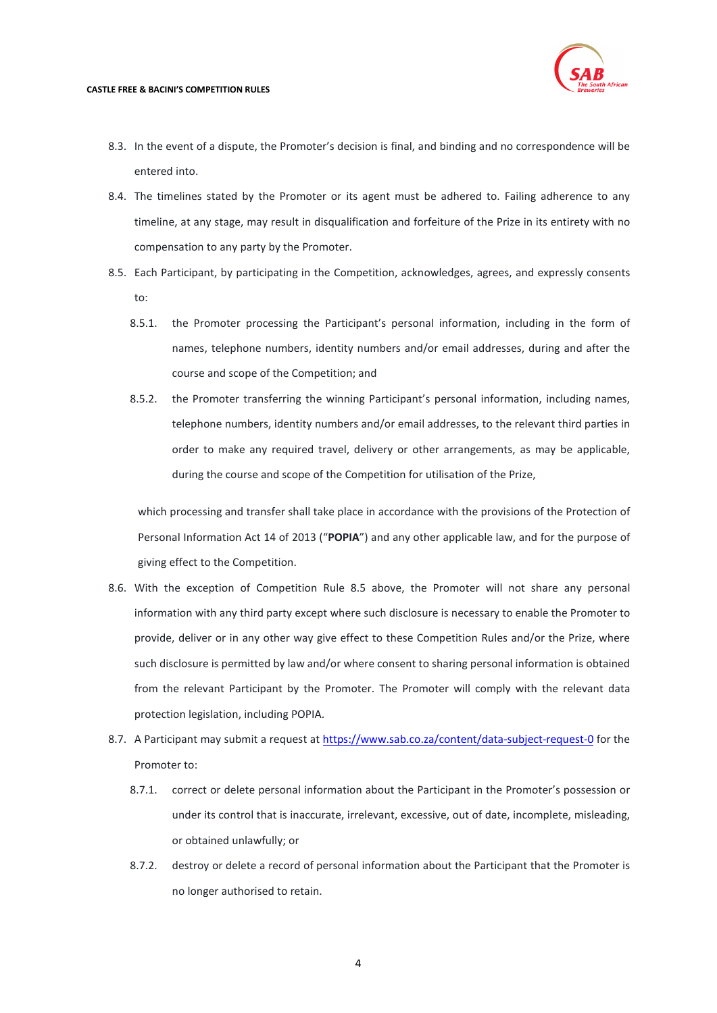#### **CASTLE FREE & BACINI'S COMPETITION RULES**



- 8.3. In the event of a dispute, the Promoter's decision is final, and binding and no correspondence will be entered into.
- 8.4. The timelines stated by the Promoter or its agent must be adhered to. Failing adherence to any timeline, at any stage, may result in disqualification and forfeiture of the Prize in its entirety with no compensation to any party by the Promoter.
- <span id="page-3-0"></span>8.5. Each Participant, by participating in the Competition, acknowledges, agrees, and expressly consents to:
	- 8.5.1. the Promoter processing the Participant's personal information, including in the form of names, telephone numbers, identity numbers and/or email addresses, during and after the course and scope of the Competition; and
	- 8.5.2. the Promoter transferring the winning Participant's personal information, including names, telephone numbers, identity numbers and/or email addresses, to the relevant third parties in order to make any required travel, delivery or other arrangements, as may be applicable, during the course and scope of the Competition for utilisation of the Prize,

which processing and transfer shall take place in accordance with the provisions of the Protection of Personal Information Act 14 of 2013 ("**POPIA**") and any other applicable law, and for the purpose of giving effect to the Competition.

- 8.6. With the exception of Competition Rule [8.5](#page-3-0) above, the Promoter will not share any personal information with any third party except where such disclosure is necessary to enable the Promoter to provide, deliver or in any other way give effect to these Competition Rules and/or the Prize, where such disclosure is permitted by law and/or where consent to sharing personal information is obtained from the relevant Participant by the Promoter. The Promoter will comply with the relevant data protection legislation, including POPIA.
- 8.7. A Participant may submit a request at<https://www.sab.co.za/content/data-subject-request-0> for the Promoter to:
	- 8.7.1. correct or delete personal information about the Participant in the Promoter's possession or under its control that is inaccurate, irrelevant, excessive, out of date, incomplete, misleading, or obtained unlawfully; or
	- 8.7.2. destroy or delete a record of personal information about the Participant that the Promoter is no longer authorised to retain.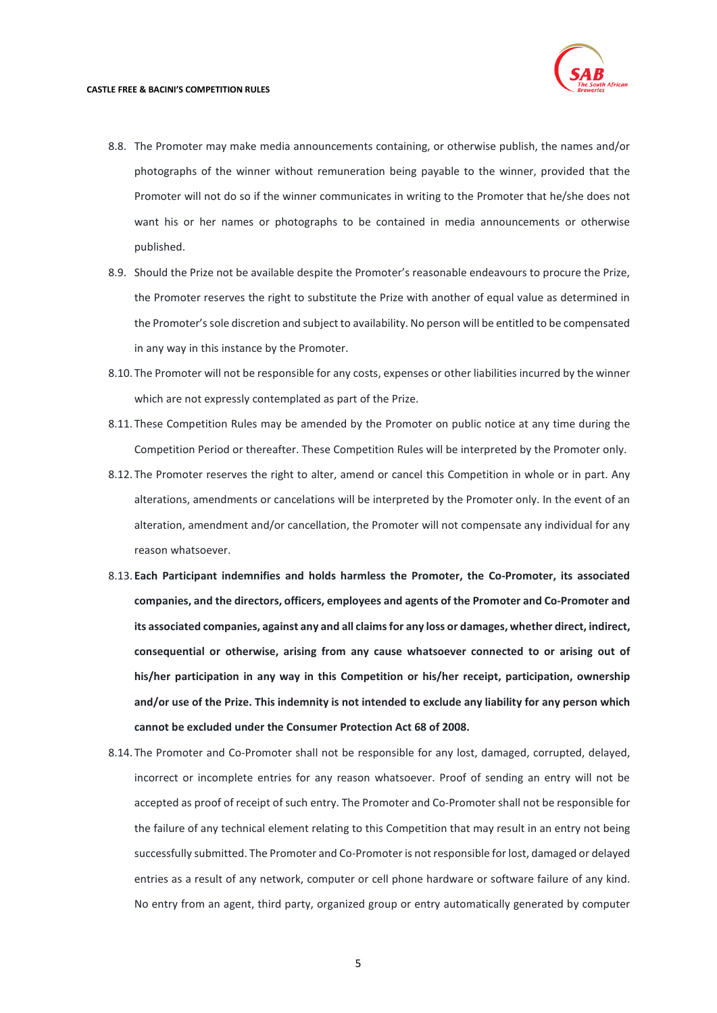- 8.8. The Promoter may make media announcements containing, or otherwise publish, the names and/or photographs of the winner without remuneration being payable to the winner, provided that the Promoter will not do so if the winner communicates in writing to the Promoter that he/she does not want his or her names or photographs to be contained in media announcements or otherwise published.
- 8.9. Should the Prize not be available despite the Promoter's reasonable endeavours to procure the Prize, the Promoter reserves the right to substitute the Prize with another of equal value as determined in the Promoter's sole discretion and subject to availability. No person will be entitled to be compensated in any way in this instance by the Promoter.
- 8.10. The Promoter will not be responsible for any costs, expenses or other liabilities incurred by the winner which are not expressly contemplated as part of the Prize.
- 8.11. These Competition Rules may be amended by the Promoter on public notice at any time during the Competition Period or thereafter. These Competition Rules will be interpreted by the Promoter only.
- 8.12. The Promoter reserves the right to alter, amend or cancel this Competition in whole or in part. Any alterations, amendments or cancelations will be interpreted by the Promoter only. In the event of an alteration, amendment and/or cancellation, the Promoter will not compensate any individual for any reason whatsoever.
- 8.13. **Each Participant indemnifies and holds harmless the Promoter, the Co-Promoter, its associated companies, and the directors, officers, employees and agents of the Promoter and Co-Promoter and its associated companies, against any and all claims for any loss or damages, whether direct, indirect, consequential or otherwise, arising from any cause whatsoever connected to or arising out of his/her participation in any way in this Competition or his/her receipt, participation, ownership and/or use of the Prize. This indemnity is not intended to exclude any liability for any person which cannot be excluded under the Consumer Protection Act 68 of 2008.**
- 8.14. The Promoter and Co-Promoter shall not be responsible for any lost, damaged, corrupted, delayed, incorrect or incomplete entries for any reason whatsoever. Proof of sending an entry will not be accepted as proof of receipt of such entry. The Promoter and Co-Promoter shall not be responsible for the failure of any technical element relating to this Competition that may result in an entry not being successfully submitted. The Promoter and Co-Promoter is not responsible for lost, damaged or delayed entries as a result of any network, computer or cell phone hardware or software failure of any kind. No entry from an agent, third party, organized group or entry automatically generated by computer